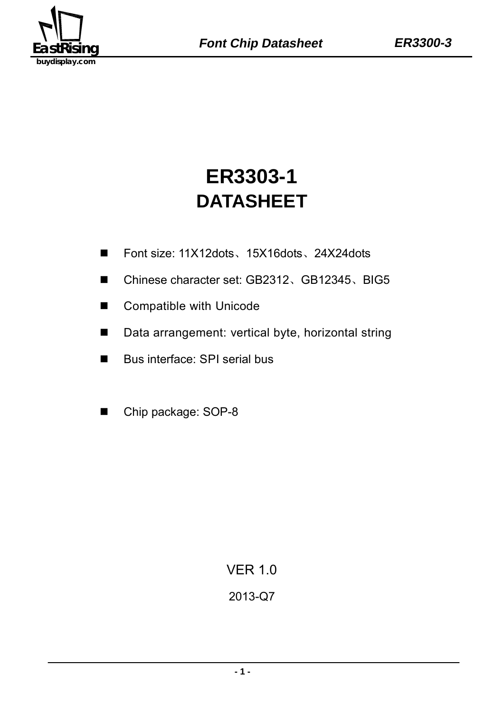

# **DATASHEET ER3303-1**

- Font size: 11X12dots、15X16dots、24X24dots
- Chinese character set: GB2312、GB12345、BIG5
- Compatible with Unicode
- Data arrangement: vertical byte, horizontal string
- Bus interface: SPI serial bus
- Chip package: SOP-8

VER 1.0

# 2013-Q7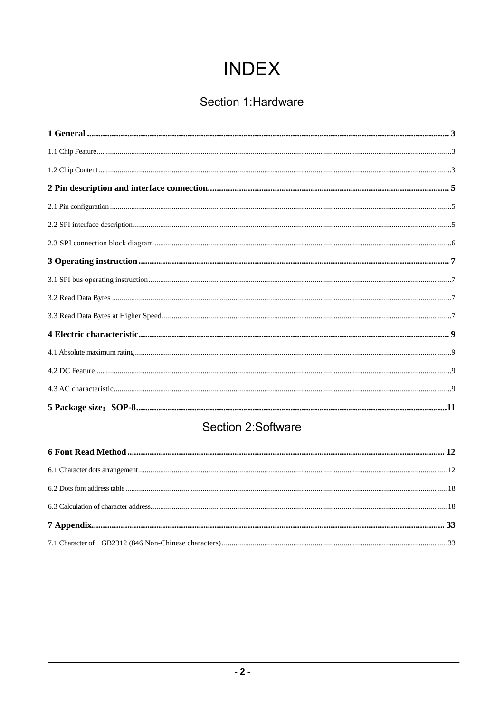# **INDEX**

# Section 1: Hardware

# Section 2:Software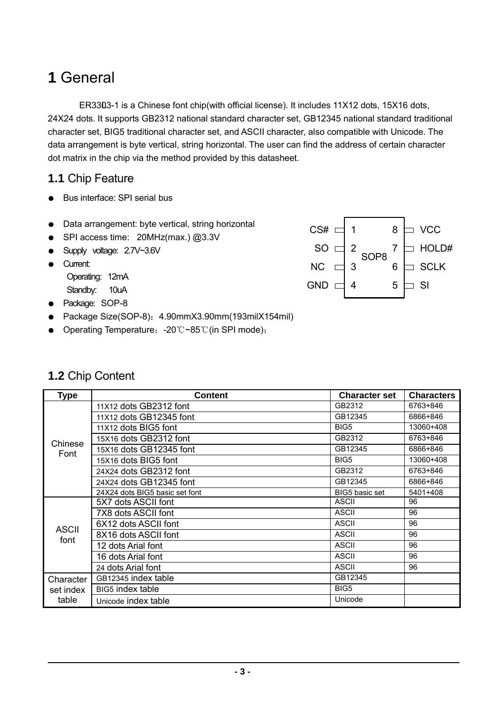#### **- 3 -**   $\overline{\phantom{a}}$

# **1** General

ER3303-1 is a Chinese font chip(with official license). It includes 11X12 dots, 15X16 dots, 24X24 dots. It supports GB2312 national standard character set, GB12345 national standard traditional character set, BIG5 traditional character set, and ASCII character, also compatible with Unicode. The data arrangement is byte vertical, string horizontal. The user can find the address of certain character dot matrix in the chip via the method provided by this datasheet.

### **1.1** Chip Feature

- Bus interface: SPI serial bus
- Data arrangement: byte vertical, string horizontal
- SPI access time: 20MHz(max.) @3.3V
- Supply voltage: 2.7V~3.6V
- Current:
	- Operating: 12mA
	- Standby: 10uA
- Package: SOP-8
- Package Size(SOP-8): 4.90mmX3.90mm(193milX154mil)
- Operating Temperature: -20℃~85℃(in SPI mode);

### **1.2** Chip Content

| <b>Type</b>          | Content                         | <b>Character set</b> | <b>Characters</b> |
|----------------------|---------------------------------|----------------------|-------------------|
|                      | 11X12 dots GB2312 font          | GB2312               | 6763+846          |
|                      | 11X12 dots GB12345 font         | GB12345              | 6866+846          |
|                      | 11X12 dots BIG5 font            | BIG <sub>5</sub>     | 13060+408         |
| Chinese              | 15X16 dots GB2312 font          | GB2312               | 6763+846          |
| Font                 | 15X16 dots GB12345 font         | GB12345              | 6866+846          |
|                      | 15X16 dots BIG5 font            | BIG <sub>5</sub>     | 13060+408         |
|                      | 24X24 dots GB2312 font          | GB2312               | 6763+846          |
|                      | 24X24 dots GB12345 font         | GB12345              | 6866+846          |
|                      | 24X24 dots BIG5 basic set font  | BIG5 basic set       | 5401+408          |
|                      | 5X7 dots ASCII font             | <b>ASCII</b>         | 96                |
|                      | 7X8 dots ASCII font             | <b>ASCII</b>         | 96                |
|                      | 6X12 dots ASCII font            | <b>ASCII</b>         | 96                |
| <b>ASCII</b><br>font | 8X16 dots ASCII font            | <b>ASCII</b>         | 96                |
|                      | 12 dots Arial font              | <b>ASCII</b>         | 96                |
|                      | 16 dots Arial font              | <b>ASCII</b>         | 96                |
|                      | 24 dots Arial font              | <b>ASCII</b>         | 96                |
| Character            | GB <sub>12345</sub> index table | GB12345              |                   |
| set index            | BIG5 index table                | BIG <sub>5</sub>     |                   |
| table                | Unicode index table             | Unicode              |                   |

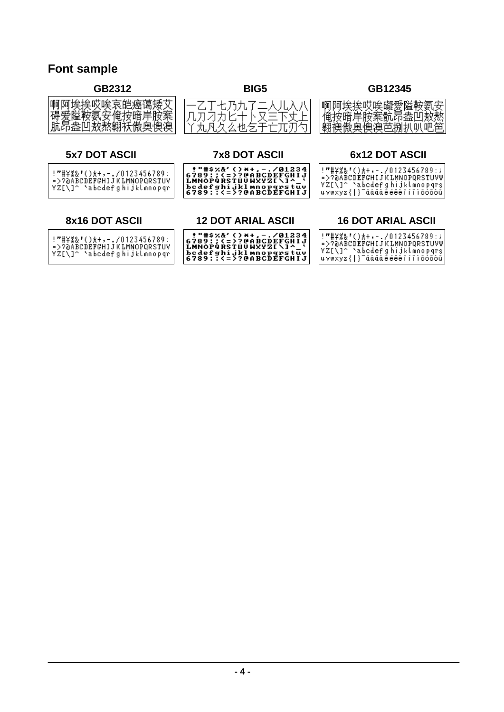### **Font sample**

#### **GB2312 BIG5 GB12345**

| 啊阿埃挨哎唉哀皑癌蔼矮艾<br>碍爱隘鞍氨安俺按暗岸胺案<br>肮昂盎凹敖熬翱袄傲奥懊澳                                           | 一乙丁七乃九了二人儿入八<br>几刀刁力匕十卜又三下丈上<br>丫丸凡久么也乞于亡兀刃勺                                                                                      | 啊阿埃挨哎唉礙愛隘鞍氨安<br>俺按暗岸胺案骯昂盎凹敖熬<br>翱襖傲奥懊澳芭捌扒叭吧笆                                                                                             |
|----------------------------------------------------------------------------------------|-----------------------------------------------------------------------------------------------------------------------------------|------------------------------------------------------------------------------------------------------------------------------------------|
| <b>5x7 DOT ASCII</b>                                                                   | <b>7x8 DOT ASCII</b>                                                                                                              | 6x12 DOT ASCII                                                                                                                           |
| !"#\%&'()*+,-./0123456789:<br>=>?@ABCDEFGHIJKLMNOPQRSTUV<br>YZ[\]^_\abcdefghijklmnopqr | !"#\$%&'()*+,-./01234<br>6789:;<=>?@ABCDEFGHIJ<br><b>LMNOPQRSTUUWXYZ[\]^_'</b><br>bcdefghijkl mnopqrstuv<br>6789::<=>?@ABCDEFGHIJ | !"#\%&'()*+,-./0123456789:; <br>=>?@ABCDEFGHIJKLMNOPQRSTUVW <br>YZ[\]^_\abodefghijklmnopqrs <br>uvwxyz{ } <sup>-</sup> āáǎàḗéěèīíǐìōóǒòū |
| 8x16 DOT ASCII                                                                         | <b>12 DOT ARIAL ASCII</b>                                                                                                         | <b>16 DOT ARIAL ASCII</b>                                                                                                                |
| !"#\%&'()*+,-./0123456789:<br>=>?@ABCDEFGHIJKLMNOPQRSTUV<br>YZ[\]^_\abcdefghijklmnopqr | !"#\$%&'()*+,-./01234<br>6789:;<=>?@ABCDEFGHIJ<br><b>LMNOPQRSTUVWXYZ[\]^_'</b><br>bcdefghijkl mnopqrstuv<br>6789::<=>?@ABCDEFGHIJ | !"#\%&'()*+,-./0123456789:; <br>=>?@ABCDEFGHIJKLMNOPQRSTUVW <br>YZ[\]^_\abcdefghijklmnopqrs <br>uvwxyz{ }¯āáǎàēéěèīíǐìōóǒòū              |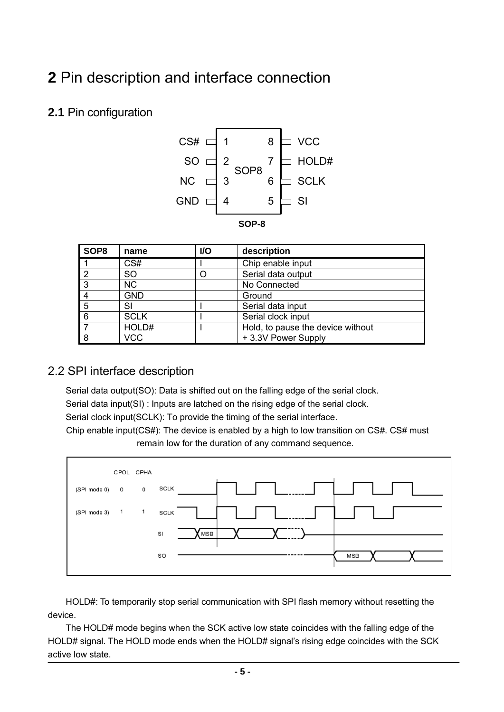# **2** Pin description and interface connection

# **2.1** Pin configuration



| SOP8 | name        | <b>VO</b> | description                       |
|------|-------------|-----------|-----------------------------------|
|      | CS#         |           | Chip enable input                 |
| っ    | <b>SO</b>   |           | Serial data output                |
| 3    | NC.         |           | No Connected                      |
|      | <b>GND</b>  |           | Ground                            |
| 5    | SI          |           | Serial data input                 |
| 6    | <b>SCLK</b> |           | Serial clock input                |
|      | HOLD#       |           | Hold, to pause the device without |
| 8    | <b>VCC</b>  |           | +3.3V Power Supply                |

# 2.2 SPI interface description

Serial data output(SO): Data is shifted out on the falling edge of the serial clock. Serial data input(SI) : Inputs are latched on the rising edge of the serial clock. Serial clock input(SCLK): To provide the timing of the serial interface. Chip enable input(CS#): The device is enabled by a high to low transition on CS#. CS# must remain low for the duration of any command sequence.



HOLD#: To temporarily stop serial communication with SPI flash memory without resetting the device.

The HOLD# mode begins when the SCK active low state coincides with the falling edge of the HOLD# signal. The HOLD mode ends when the HOLD# signal's rising edge coincides with the SCK active low state.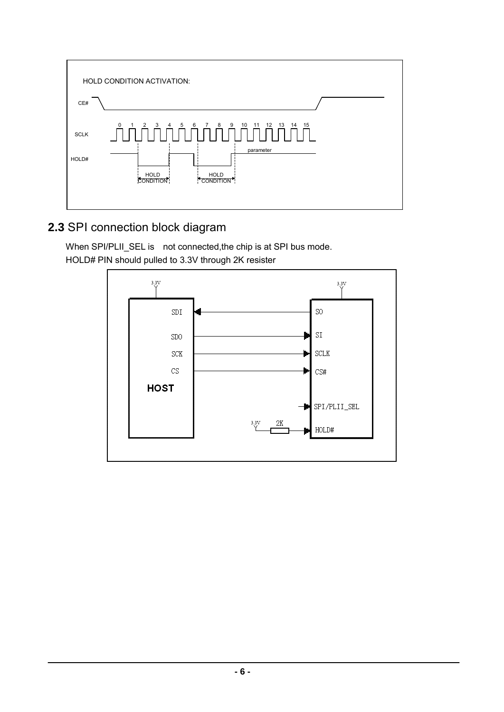

# **2.3** SPI connection block diagram

When SPI/PLII\_SEL is not connected, the chip is at SPI bus mode. HOLD# PIN should pulled to 3.3V through 2K resister

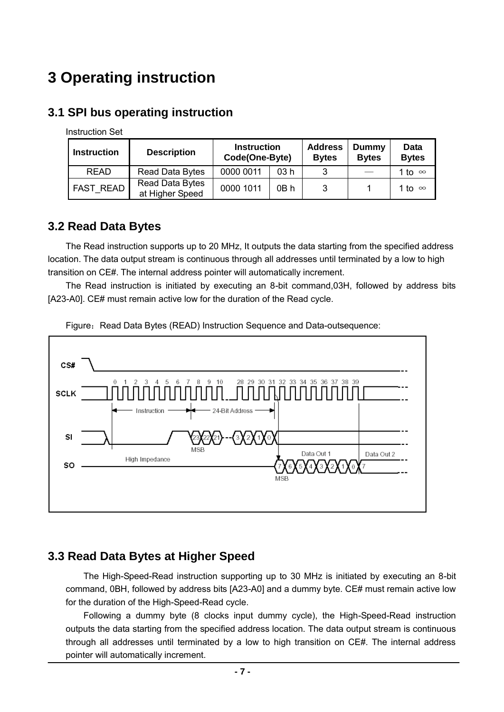# **3 Operating instruction**

# **3.1 SPI bus operating instruction**

Instruction Set

| <b>Instruction</b> | <b>Description</b>                 |           | <b>Instruction</b><br>Code(One-Byte) |   | <b>Dummy</b><br><b>Bytes</b> | Data<br><b>Bytes</b> |
|--------------------|------------------------------------|-----------|--------------------------------------|---|------------------------------|----------------------|
| <b>READ</b>        | Read Data Bytes                    | 0000 0011 | 03 h                                 |   |                              | 1 to ∞               |
| <b>FAST READ</b>   | Read Data Bytes<br>at Higher Speed | 0000 1011 | 0B h                                 | 3 |                              | 1 to ∞               |

# **3.2 Read Data Bytes**

The Read instruction supports up to 20 MHz, It outputs the data starting from the specified address location. The data output stream is continuous through all addresses until terminated by a low to high transition on CE#. The internal address pointer will automatically increment.

The Read instruction is initiated by executing an 8-bit command,03H, followed by address bits [A23-A0]. CE# must remain active low for the duration of the Read cycle.



Figure: Read Data Bytes (READ) Instruction Sequence and Data-outsequence:

# **3.3 Read Data Bytes at Higher Speed**

The High-Speed-Read instruction supporting up to 30 MHz is initiated by executing an 8-bit command, 0BH, followed by address bits [A23-A0] and a dummy byte. CE# must remain active low for the duration of the High-Speed-Read cycle.

Following a dummy byte (8 clocks input dummy cycle), the High-Speed-Read instruction outputs the data starting from the specified address location. The data output stream is continuous through all addresses until terminated by a low to high transition on CE#. The internal address pointer will automatically increment.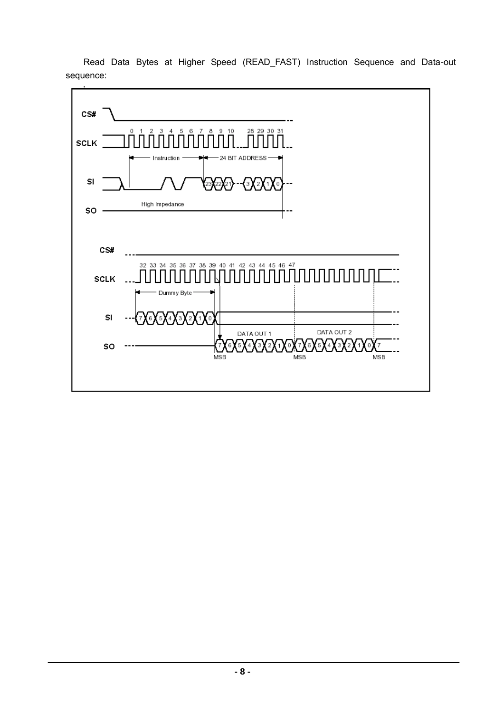Read Data Bytes at Higher Speed (READ\_FAST) Instruction Sequence and Data-out sequence:

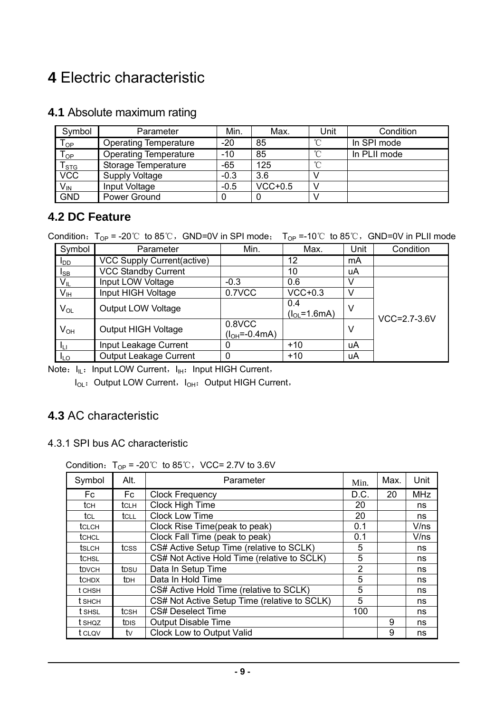# **4** Electric characteristic

# **4.1** Absolute maximum rating

| Symbol                      | Parameter                    | Min.   | Max.      | Unit         | Condition    |
|-----------------------------|------------------------------|--------|-----------|--------------|--------------|
| ${\mathsf T}_{\textsf{OP}}$ | <b>Operating Temperature</b> | $-20$  | 85        | $^{\circ}$ C | In SPI mode  |
| $T_{OP}$                    | <b>Operating Temperature</b> | $-10$  | 85        | $\gamma$     | In PLII mode |
| T <sub>STG</sub>            | Storage Temperature          | $-65$  | 125       | $\sim$       |              |
| <b>VCC</b>                  | Supply Voltage               | $-0.3$ | 3.6       |              |              |
| $V_{IN}$                    | Input Voltage                | $-0.5$ | $VCC+0.5$ |              |              |
| <b>GND</b>                  | Power Ground                 |        |           |              |              |

### **4.2 DC Feature**

Condition:  $T_{OP}$  = -20℃ to 85℃, GND=0V in SPI mode;  $T_{OP}$  =-10℃ to 85℃, GND=0V in PLII mode

| Symbol                 | Parameter                            | Min.              | Max.               | Unit | Condition          |  |
|------------------------|--------------------------------------|-------------------|--------------------|------|--------------------|--|
| <b>I</b> <sub>DD</sub> | VCC Supply Current(active)           |                   | 12                 | mA   |                    |  |
| I <sub>SB</sub>        | <b>VCC Standby Current</b>           |                   | 10                 | uA   |                    |  |
| $V_{\parallel}$        | Input LOW Voltage                    | $-0.3$            | 0.6                | V    |                    |  |
| V <sub>IH</sub>        | Input HIGH Voltage                   | 0.7VCC            | $VCC+0.3$          | V    |                    |  |
| $V_{OL}$               | <b>Output LOW Voltage</b>            |                   | 0.4                | V    |                    |  |
|                        |                                      |                   | $(l_{OL} = 1.6mA)$ |      | $VCC = 2.7 - 3.6V$ |  |
| $V_{OH}$               | 0.8VCC<br><b>Output HIGH Voltage</b> |                   |                    | V    |                    |  |
|                        |                                      | $(I_{OH}=-0.4mA)$ |                    |      |                    |  |
| Ιu                     | Input Leakage Current                | $\Omega$          | $+10$              | uA   |                    |  |
| <b>ILO</b>             | <b>Output Leakage Current</b>        | 0                 | $+10$              | uA   |                    |  |

Note:  $I_{IL}:$  Input LOW Current,  $I_{IH}:$  Input HIGH Current,

I<sub>OL</sub>: Output LOW Current, I<sub>OH</sub>: Output HIGH Current,

# **4.3** AC characteristic

#### 4.3.1 SPI bus AC characteristic

Condition:  $T_{OP}$  = -20℃ to 85℃, VCC= 2.7V to 3.6V

| Symbol        | Alt.         | Parameter                                    | Min.           | Max. | Unit       |
|---------------|--------------|----------------------------------------------|----------------|------|------------|
| Fc.           | Fc           | <b>Clock Frequency</b>                       | D.C.           | 20   | <b>MHz</b> |
| tch           | <b>t</b> CLH | Clock High Time                              | 20             |      | ns         |
| tcl           | tcll         | <b>Clock Low Time</b>                        | 20             |      | ns         |
| tclch         |              | Clock Rise Time(peak to peak)                | 0.1            |      | V/ns       |
| <b>t</b> CHCL |              | Clock Fall Time (peak to peak)               | 0.1            |      | V/ns       |
| tslch         | tcss         | CS# Active Setup Time (relative to SCLK)     | 5              |      | ns         |
| <b>t</b> CHSL |              | CS# Not Active Hold Time (relative to SCLK)  | 5              |      | ns         |
| <b>t</b> DVCH | tpsu         | Data In Setup Time                           | $\overline{2}$ |      | ns         |
| <b>t</b> CHDX | <b>t</b> DH  | Data In Hold Time                            | 5              |      | ns         |
| t CHSH        |              | CS# Active Hold Time (relative to SCLK)      | 5              |      | ns         |
| t shch        |              | CS# Not Active Setup Time (relative to SCLK) | 5              |      | ns         |
| t SHSL        | tcsн         | <b>CS# Deselect Time</b>                     | 100            |      | ns         |
| t shoz        | tdis         | <b>Output Disable Time</b>                   |                | 9    | ns         |
| t clov        | tv           | <b>Clock Low to Output Valid</b>             |                | 9    | ns         |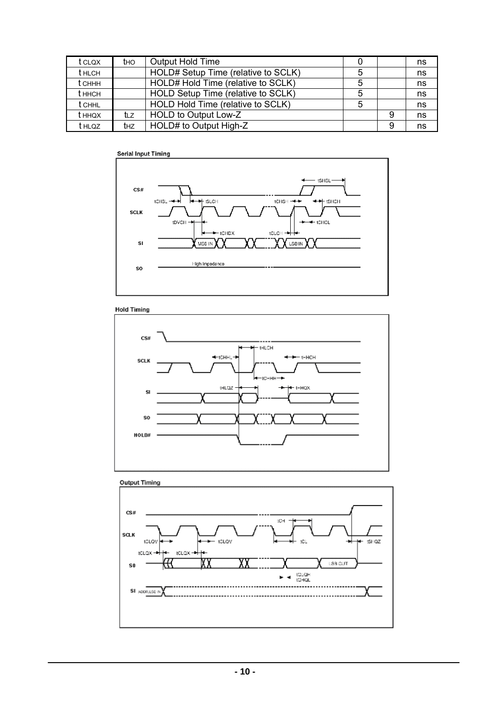| t clox        | tho | Output Hold Time                    |   |   | ns |
|---------------|-----|-------------------------------------|---|---|----|
| <b>t</b> HLCH |     | HOLD# Setup Time (relative to SCLK) |   |   | ns |
| t сннн        |     | HOLD# Hold Time (relative to SCLK)  |   |   | ns |
| t ннсн        |     | HOLD Setup Time (relative to SCLK)  |   |   | ns |
| <b>t</b> CHHL |     | HOLD Hold Time (relative to SCLK)   | 5 |   | ns |
| t ннох        | tız | HOLD to Output Low-Z                |   | 9 | ns |
| t hloz        | thz | HOLD# to Output High-Z              |   | 9 | ns |



**Hold Timing** 





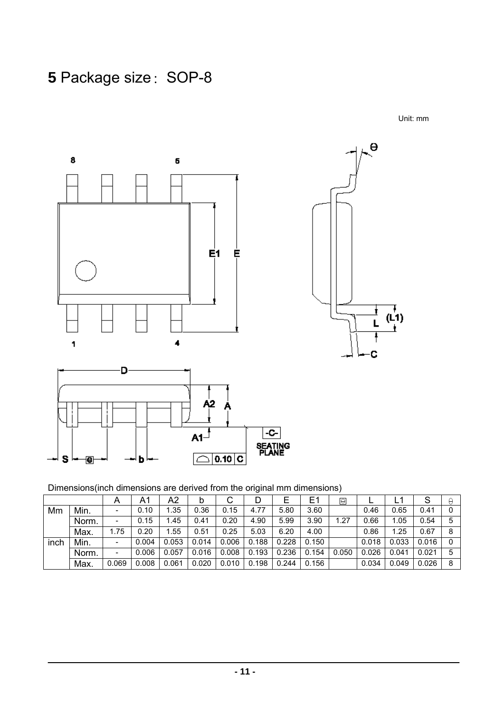# **5 Package size: SOP-8**

Unit: mm



Dimensions(inch dimensions are derived from the original mm dimensions)

|      |       | Α                        | A1    | A2    | b     | ັ     |       | ⊢     | E     | $\Theta$ |       | ┕     | ৩     | ₩ |
|------|-------|--------------------------|-------|-------|-------|-------|-------|-------|-------|----------|-------|-------|-------|---|
| Mm   | Min.  |                          | 0.10  | .35   | 0.36  | 0.15  | 4.77  | 5.80  | 3.60  |          | 0.46  | 0.65  | 0.41  |   |
|      | Norm. | -                        | 0.15  | .45   | 0.41  | 0.20  | 4.90  | 5.99  | 3.90  | 1.27     | 0.66  | 1.05  | 0.54  | 5 |
|      | Max.  | i.75                     | 0.20  | .55   | 0.51  | 0.25  | 5.03  | 6.20  | 4.00  |          | 0.86  | 1.25  | 0.67  | 8 |
| inch | Min.  | $\overline{\phantom{0}}$ | 0.004 | 0.053 | 0.014 | 0.006 | 0.188 | 0.228 | 0.150 |          | 0.018 | 0.033 | 0.016 |   |
|      | Norm. | -                        | 0.006 | 0.057 | 0.016 | 0.008 | 0.193 | 0.236 | 0.154 | 0.050    | 0.026 | 0.041 | 0.021 |   |
|      | Max.  | 0.069                    | 0.008 | 0.061 | 0.020 | 0.010 | 0.198 | 0.244 | 0.156 |          | 0.034 | 0.049 | 0.026 | 8 |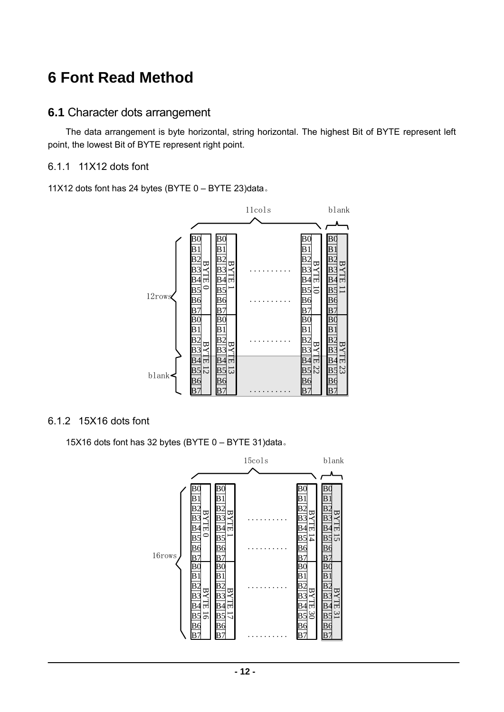# **6 Font Read Method**

#### **6.1** Character dots arrangement

The data arrangement is byte horizontal, string horizontal. The highest Bit of BYTE represent left point, the lowest Bit of BYTE represent right point.

#### 6.1.1 11X12 dots font

11X12 dots font has 24 bytes (BYTE 0 – BYTE 23)data。



#### 6.1.2 15X16 dots font

15X16 dots font has 32 bytes (BYTE 0 – BYTE 31)data。

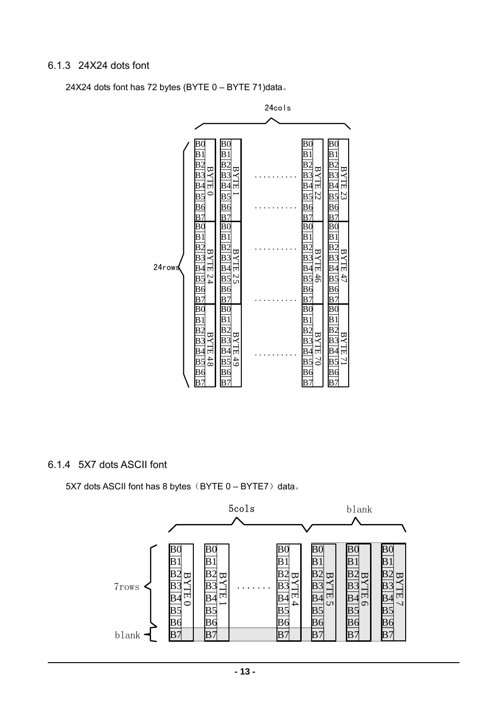#### 6.1.3 24X24 dots font

24X24 dots font has 72 bytes (BYTE 0 – BYTE 71)data。



6.1.4 5X7 dots ASCII font

5X7 dots ASCII font has 8 bytes  $(BYTE 0 - BYTE7)$  data.

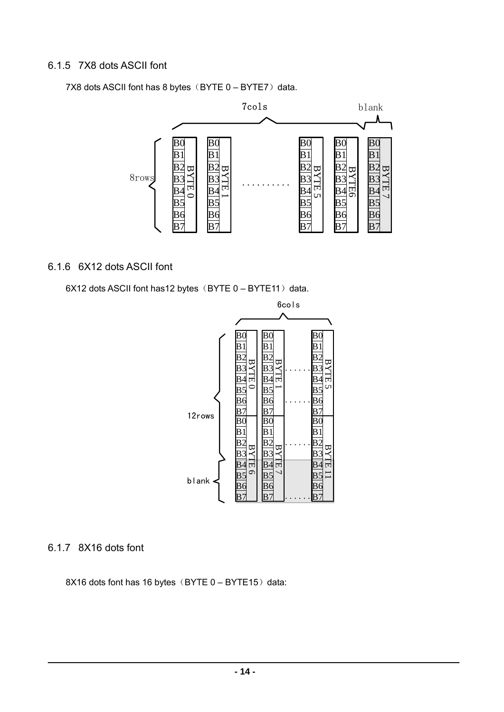#### 6.1.5 7X8 dots ASCII font

7X8 dots ASCII font has 8 bytes  $(BYTE 0 - BYTE7)$  data.



#### 6.1.6 6X12 dots ASCII font

6X12 dots ASCII font has12 bytes (BYTE  $0 - BYTE11$ ) data.



#### 6.1.7 8X16 dots font

8X16 dots font has 16 bytes (BYTE  $0 - BYTE15$ ) data: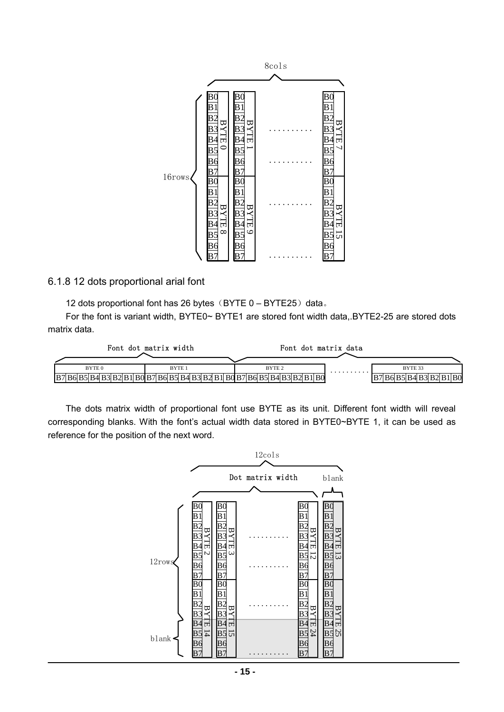

#### 6.1.8 12 dots proportional arial font

12 dots proportional font has 26 bytes  $(BYTE 0 - BYTE25)$  data.

For the font is variant width, BYTE0~ BYTE1 are stored font width data,.BYTE2-25 are stored dots matrix data.

|                                                                         | Font dot matrix width | Font dot matrix data |   |                         |
|-------------------------------------------------------------------------|-----------------------|----------------------|---|-------------------------|
|                                                                         |                       |                      |   |                         |
| BYTE <sub>0</sub>                                                       | BYTE <sub>1</sub>     | BYTE <sub>2</sub>    | . | BYTE 33                 |
| B7 B6 B5 B4 B3 B2 B1 B0 B7 B6 B5 B4 B3 B2 B1 B0 B7 B6 B5 B4 B3 B2 B1 B0 |                       |                      |   | B7 B6 B5 B4 B3 B2 B1 B0 |

The dots matrix width of proportional font use BYTE as its unit. Different font width will reveal corresponding blanks. With the font's actual width data stored in BYTE0~BYTE 1, it can be used as reference for the position of the next word.

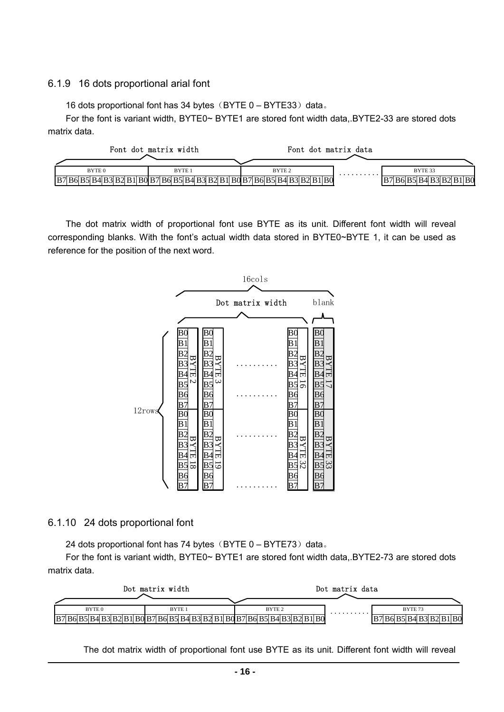#### 6.1.9 16 dots proportional arial font

16 dots proportional font has 34 bytes  $(BYTE 0 - BYTE33)$  data.

For the font is variant width, BYTE0~ BYTE1 are stored font width data,.BYTE2-33 are stored dots matrix data.

|                                                                       | Font dot matrix width | Font dot matrix data |   |                               |
|-----------------------------------------------------------------------|-----------------------|----------------------|---|-------------------------------|
| BYTE <sub>0</sub>                                                     | BYTE <sub>1</sub>     | BYTE <sub>2</sub>    | . | BYTE 33                       |
| $ B7 B6 B5 B4 B3 B2 B1 B0 B7 B6 B5 B4 B3 B2 B1 B0 B7 B6 B5 B4 B3 B2 $ |                       |                      |   | '  B6  B5  B4  B3  B2  B1  B0 |

The dot matrix width of proportional font use BYTE as its unit. Different font width will reveal corresponding blanks. With the font's actual width data stored in BYTE0~BYTE 1, it can be used as reference for the position of the next word.



#### 6.1.10 24 dots proportional font

24 dots proportional font has 74 bytes  $(BYTE 0 - BYTE73)$  data.

For the font is variant width, BYTE0~ BYTE1 are stored font width data,.BYTE2-73 are stored dots matrix data.

|                   | Dot matrix width  |                                                                                            | Dot matrix data |                         |
|-------------------|-------------------|--------------------------------------------------------------------------------------------|-----------------|-------------------------|
| BYTE <sub>0</sub> | BYTE <sub>1</sub> | BYTE <sub>2</sub>                                                                          | .               | BYTE <sub>73</sub>      |
| IB7               |                   | B6  B5  B4  B3  B2  B1  B0  B7  B6  B5  B4  B3  B2  B1  B0  B7  B6  B5  B4  B3  B2  B1  B0 |                 | B7 B6 B5 B4 B3 B2 B1 B0 |

The dot matrix width of proportional font use BYTE as its unit. Different font width will reveal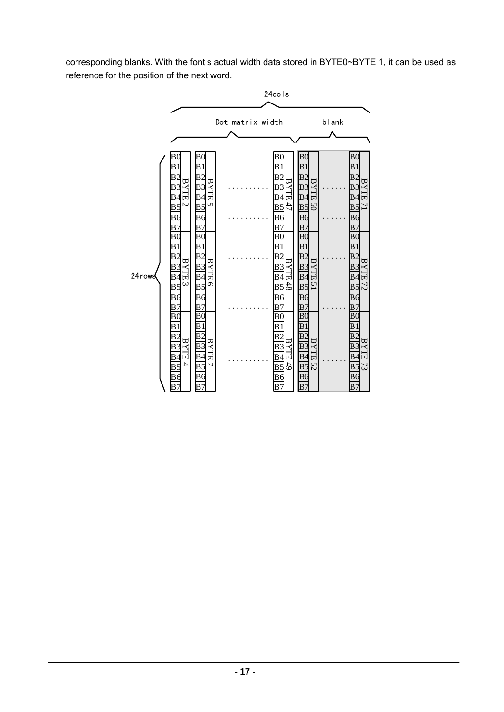corresponding blanks. With the font s actual width data stored in BYTE0~BYTE 1, it can be used as reference for the position of the next word.

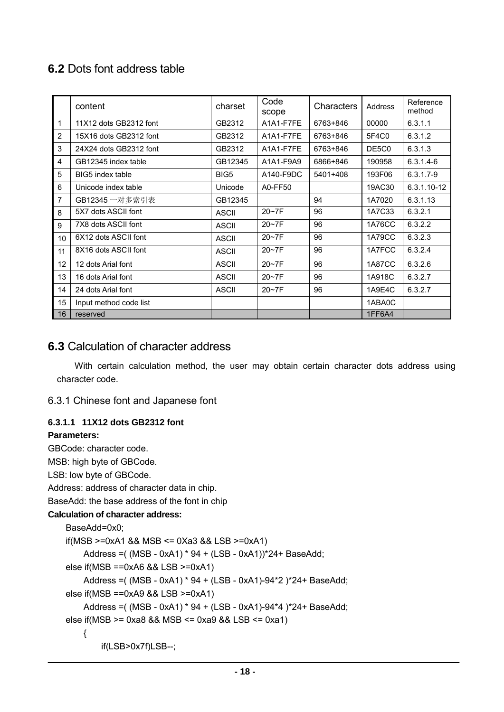# **6.2** Dots font address table

|                 | content                | charset      | Code<br>scope | Characters | Address       | Reference<br>method |
|-----------------|------------------------|--------------|---------------|------------|---------------|---------------------|
| 1               | 11X12 dots GB2312 font | GB2312       | A1A1-F7FE     | 6763+846   | 00000         | 6.3.1.1             |
| 2               | 15X16 dots GB2312 font | GB2312       | A1A1-F7FE     | 6763+846   | 5F4C0         | 6.3.1.2             |
| 3               | 24X24 dots GB2312 font | GB2312       | A1A1-F7FE     | 6763+846   | DE5C0         | 6.3.1.3             |
| 4               | GB12345 index table    | GB12345      | A1A1-F9A9     | 6866+846   | 190958        | $6.3.1.4 - 6$       |
| 5               | BIG5 index table       | BIG5         | A140-F9DC     | 5401+408   | 193F06        | $6.3.1.7 - 9$       |
| 6               | Unicode index table    | Unicode      | A0-FF50       |            | 19AC30        | 6.3.1.10-12         |
| 7               | GB12345 一对多索引表         | GB12345      |               | 94         | 1A7020        | 6.3.1.13            |
| 8               | 5X7 dots ASCII font    | <b>ASCII</b> | $20-7F$       | 96         | 1A7C33        | 6.3.2.1             |
| 9               | 7X8 dots ASCII font    | <b>ASCII</b> | $20 - 7F$     | 96         | <b>1A76CC</b> | 6.3.2.2             |
| 10 <sup>1</sup> | 6X12 dots ASCII font   | <b>ASCII</b> | $20 - 7F$     | 96         | 1A79CC        | 6.3.2.3             |
| 11              | 8X16 dots ASCII font   | <b>ASCII</b> | $20-7F$       | 96         | 1A7FCC        | 6.3.2.4             |
| 12              | 12 dots Arial font     | <b>ASCII</b> | $20 - 7F$     | 96         | <b>1A87CC</b> | 6.3.2.6             |
| 13              | 16 dots Arial font     | <b>ASCII</b> | $20 - 7F$     | 96         | 1A918C        | 6.3.2.7             |
| 14              | 24 dots Arial font     | <b>ASCII</b> | $20 - 7F$     | 96         | 1A9E4C        | 6.3.2.7             |
| 15              | Input method code list |              |               |            | 1ABA0C        |                     |
| 16              | reserved               |              |               |            | 1FF6A4        |                     |

### **6.3** Calculation of character address

With certain calculation method, the user may obtain certain character dots address using character code.

#### 6.3.1 Chinese font and Japanese font

#### **6.3.1.1 11X12 dots GB2312 font**

#### **Parameters:**

GBCode: character code. MSB: high byte of GBCode. LSB: low byte of GBCode. Address: address of character data in chip. BaseAdd: the base address of the font in chip **Calculation of character address:**  BaseAdd=0x0; if(MSB >=0xA1 && MSB <= 0Xa3 && LSB >=0xA1) Address =( (MSB - 0xA1) \* 94 + (LSB - 0xA1))\*24+ BaseAdd; else if(MSB ==0xA6 && LSB >=0xA1) Address =( (MSB - 0xA1) \* 94 + (LSB - 0xA1)-94\*2 )\*24+ BaseAdd; else if(MSB ==0xA9 && LSB >=0xA1) Address =( (MSB - 0xA1) \* 94 + (LSB - 0xA1)-94\*4 )\*24+ BaseAdd; else if(MSB >= 0xa8 && MSB <= 0xa9 && LSB <= 0xa1) { if(LSB>0x7f)LSB--;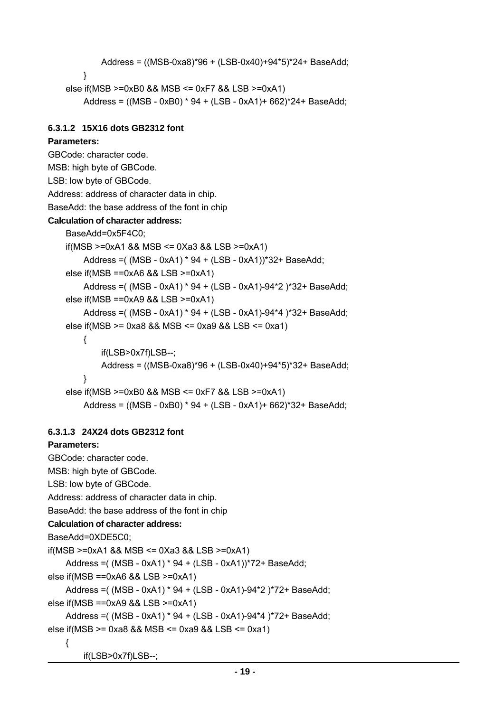```
 Address = ((MSB-0xa8)*96 + (LSB-0x40)+94*5)*24+ BaseAdd; 
     } 
else if(MSB >=0xB0 && MSB <= 0xF7 && LSB >=0xA1) 
     Address = ((MSB - 0xB0) * 94 + (LSB - 0xA1)+ 662)*24+ BaseAdd;
```
#### **6.3.1.2 15X16 dots GB2312 font**

#### **Parameters:**

```
GBCode: character code. 
MSB: high byte of GBCode. 
LSB: low byte of GBCode. 
Address: address of character data in chip. 
BaseAdd: the base address of the font in chip 
Calculation of character address: 
    BaseAdd=0x5F4C0; 
    if(MSB >=0xA1 && MSB <= 0Xa3 && LSB >=0xA1) 
         Address =( (MSB - 0xA1) * 94 + (LSB - 0xA1))*32+ BaseAdd; 
    else if(MSB ==0xA6 && LSB >=0xA1) 
         Address =( (MSB - 0xA1) * 94 + (LSB - 0xA1)-94*2 )*32+ BaseAdd; 
    else if(MSB ==0xA9 && LSB >=0xA1) 
         Address =( (MSB - 0xA1) * 94 + (LSB - 0xA1)-94*4 )*32+ BaseAdd; 
    else if(MSB >= 0xa8 && MSB <= 0xa9 && LSB <= 0xa1) 
         { 
             if(LSB>0x7f)LSB--; 
             Address = ((MSB-0xa8)*96 + (LSB-0x40)+94*5)*32+ BaseAdd; 
         } 
    else if(MSB >=0xB0 && MSB <= 0xF7 && LSB >=0xA1) 
         Address = ((MSB - 0xB0) * 94 + (LSB - 0xA1)+ 662)*32+ BaseAdd;
```
#### **6.3.1.3 24X24 dots GB2312 font**

#### **Parameters:**

```
GBCode: character code. 
MSB: high byte of GBCode. 
LSB: low byte of GBCode. 
Address: address of character data in chip. 
BaseAdd: the base address of the font in chip 
Calculation of character address: 
BaseAdd=0XDE5C0; 
if(MSB >=0xA1 && MSB <= 0Xa3 && LSB >=0xA1) 
     Address =( (MSB - 0xA1) * 94 + (LSB - 0xA1))*72+ BaseAdd; 
else if(MSB ==0xA6 && LSB >=0xA1) 
     Address =( (MSB - 0xA1) * 94 + (LSB - 0xA1)-94*2 )*72+ BaseAdd; 
else if(MSB ==0xA9 && LSB >=0xA1) 
     Address =( (MSB - 0xA1) * 94 + (LSB - 0xA1)-94*4 )*72+ BaseAdd; 
else if(MSB >= 0xa8 && MSB <= 0xa9 && LSB <= 0xa1) 
     {
```

```
 if(LSB>0x7f)LSB--;
```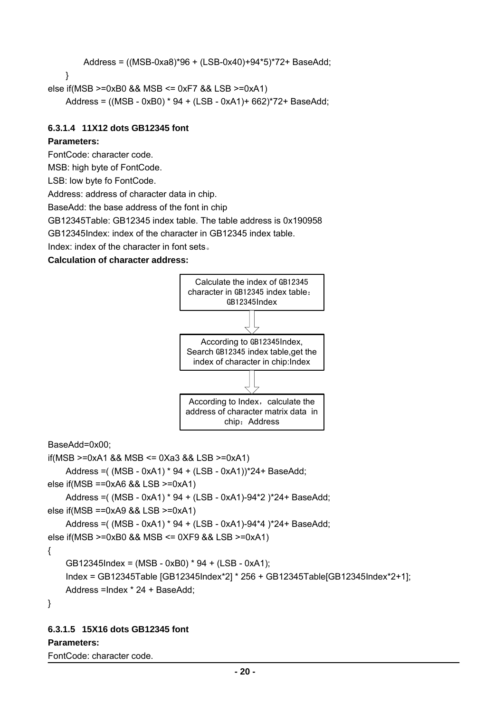```
 Address = ((MSB-0xa8)*96 + (LSB-0x40)+94*5)*72+ BaseAdd;
```

```
 }
```
else if(MSB >=0xB0 && MSB <= 0xF7 && LSB >=0xA1)

```
 Address = ((MSB - 0xB0) * 94 + (LSB - 0xA1)+ 662)*72+ BaseAdd;
```
#### **6.3.1.4 11X12 dots GB12345 font**

#### **Parameters:**

FontCode: character code.

MSB: high byte of FontCode.

LSB: low byte fo FontCode.

Address: address of character data in chip.

BaseAdd: the base address of the font in chip

GB12345Table: GB12345 index table. The table address is 0x190958

GB12345Index: index of the character in GB12345 index table.

Index: index of the character in font sets。

#### **Calculation of character address:**



BaseAdd=0x00;

if(MSB >=0xA1 && MSB <= 0Xa3 && LSB >=0xA1)

Address =( (MSB - 0xA1) \* 94 + (LSB - 0xA1))\*24+ BaseAdd;

else if(MSB ==0xA6 && LSB >=0xA1)

Address =( (MSB - 0xA1) \* 94 + (LSB - 0xA1)-94\*2 )\*24+ BaseAdd; else if(MSB ==0xA9 && LSB >=0xA1)

```
Address =( (MSB - 0xA1) * 94 + (LSB - 0xA1)-94*4 )*24+ BaseAdd;
```

```
else if(MSB >=0xB0 && MSB <= 0XF9 && LSB >=0xA1)
```
{

```
GB12345Index = (MSB - 0xB0) * 94 + (LSB - 0xA1);
```

```
Index = GB12345Table [GB12345Index*2] * 256 + GB12345Table[GB12345Index*2+1]; 
Address =Index * 24 + BaseAdd;
```
}

#### **6.3.1.5 15X16 dots GB12345 font**

#### **Parameters:**

FontCode: character code.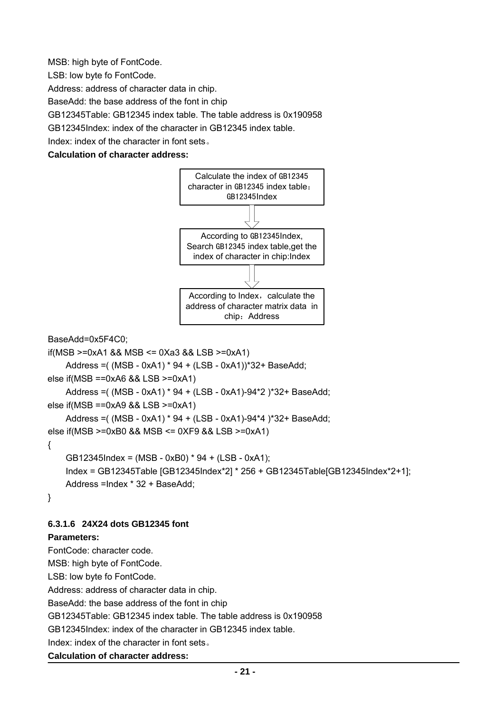MSB: high byte of FontCode.

LSB: low byte fo FontCode.

Address: address of character data in chip.

BaseAdd: the base address of the font in chip

GB12345Table: GB12345 index table. The table address is 0x190958

GB12345Index: index of the character in GB12345 index table.

Index: index of the character in font sets。

#### **Calculation of character address:**



BaseAdd=0x5F4C0;

```
if(MSB >=0xA1 && MSB <= 0Xa3 && LSB >=0xA1)
```

```
Address =( (MSB - 0xA1) * 94 + (LSB - 0xA1))*32+ BaseAdd;
```

```
else if(MSB ==0xA6 && LSB >=0xA1)
```

```
Address =( (MSB - 0xA1) * 94 + (LSB - 0xA1)-94*2 )*32+ BaseAdd;
```

```
else if(MSB ==0xA9 && LSB >=0xA1)
```

```
Address =( (MSB - 0xA1) * 94 + (LSB - 0xA1)-94*4 )*32+ BaseAdd;
```

```
else if(MSB >=0xB0 && MSB <= 0XF9 && LSB >=0xA1)
```
#### {

```
GB12345Index = (MSB - 0xB0) * 94 + (LSB - 0xA1); 
Index = GB12345Table [GB12345Index*2] * 256 + GB12345Table[GB12345Index*2+1]; 
Address =Index * 32 + BaseAdd;
```

```
}
```
#### **6.3.1.6 24X24 dots GB12345 font**

#### **Parameters:**

FontCode: character code.

MSB: high byte of FontCode. LSB: low byte fo FontCode.

Address: address of character data in chip.

BaseAdd: the base address of the font in chip

GB12345Table: GB12345 index table. The table address is 0x190958

GB12345Index: index of the character in GB12345 index table.

Index: index of the character in font sets。

```
Calculation of character address:
```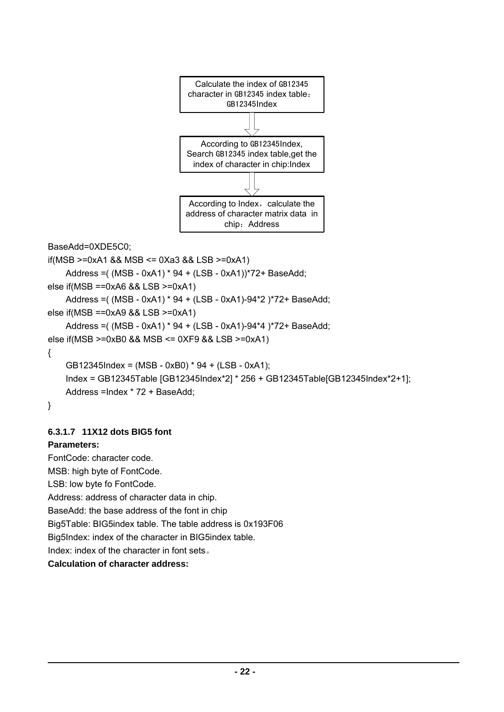

```
BaseAdd=0XDE5C0; 
if(MSB >=0xA1 && MSB <= 0Xa3 && LSB >=0xA1) 
    Address =( (MSB - 0xA1) * 94 + (LSB - 0xA1))*72+ BaseAdd; 
else if(MSB ==0xA6 && LSB >=0xA1)
```

```
Address =( (MSB - 0xA1) * 94 + (LSB - 0xA1)-94*2 )*72+ BaseAdd; 
else if(MSB ==0xA9 && LSB >=0xA1) 
    Address =( (MSB - 0xA1) * 94 + (LSB - 0xA1)-94*4 )*72+ BaseAdd;
```

```
else if(MSB >=0xB0 && MSB <= 0XF9 && LSB >=0xA1)
```

```
{
```

```
GB12345Index = (MSB - 0xB0) * 94 + (LSB - 0xA1); 
    Index = GB12345Table [GB12345Index*2] * 256 + GB12345Table[GB12345Index*2+1]; 
    Address =Index * 72 + BaseAdd; 
}
```
### **6.3.1.7 11X12 dots BIG5 font**

### **Parameters:**

FontCode: character code. MSB: high byte of FontCode. LSB: low byte fo FontCode. Address: address of character data in chip. BaseAdd: the base address of the font in chip Big5Table: BIG5index table. The table address is 0x193F06 Big5Index: index of the character in BIG5index table. Index: index of the character in font sets。 **Calculation of character address:**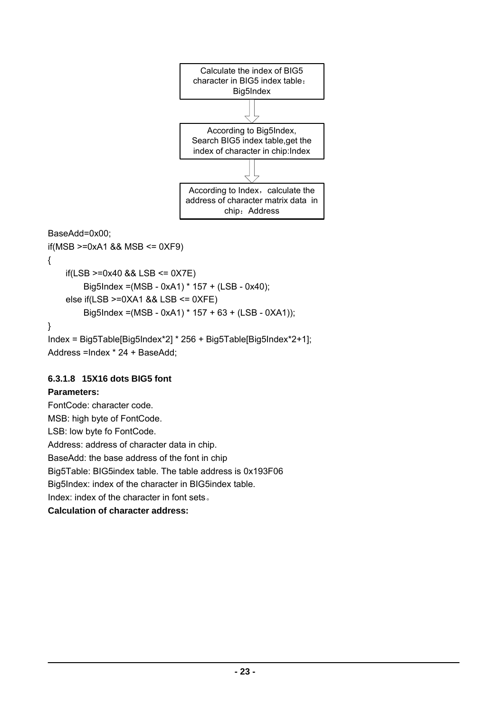

$$
BaseAdd=0x00;
$$

if(MSB >=0xA1 && MSB <= 0XF9) {  $if(LSB >=0x40 & 8 & 1SS <= 0X7E)$ Big5Index =(MSB - 0xA1) \* 157 + (LSB - 0x40); else if(LSB >=0XA1 && LSB <= 0XFE) Big5Index =(MSB - 0xA1) \* 157 + 63 + (LSB - 0XA1)); } Index = Big5Table[Big5Index\*2] \* 256 + Big5Table[Big5Index\*2+1]; Address =Index \* 24 + BaseAdd;

#### **6.3.1.8 15X16 dots BIG5 font**

#### **Parameters:**

FontCode: character code. MSB: high byte of FontCode. LSB: low byte fo FontCode. Address: address of character data in chip. BaseAdd: the base address of the font in chip Big5Table: BIG5index table. The table address is 0x193F06 Big5Index: index of the character in BIG5index table. Index: index of the character in font sets。 **Calculation of character address:**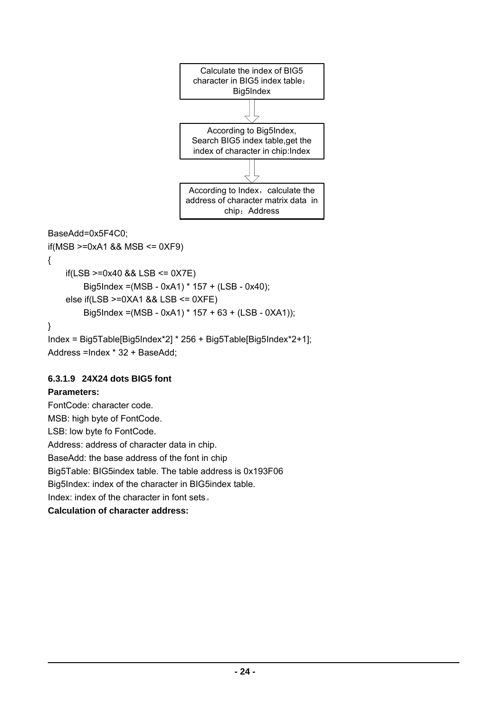

```
BaseAdd=0x5F4C0; 
if(MSB >=0xA1 && MSB <= 0XF9) 
{ 
    if(LSB >=0x40 & 8 & 1SS <= 0X7E)Big5Index =(MSB - 0xA1) * 157 + (LSB - 0x40); 
    else if(LSB >=0XA1 && LSB <= 0XFE) 
        Big5Index =(MSB - 0xA1) * 157 + 63 + (LSB - 0XA1)); 
} 
Index = Big5Table[Big5Index*2] * 256 + Big5Table[Big5Index*2+1]; 
Address =Index * 32 + BaseAdd;
```
#### **6.3.1.9 24X24 dots BIG5 font**

#### **Parameters:**

FontCode: character code. MSB: high byte of FontCode. LSB: low byte fo FontCode. Address: address of character data in chip. BaseAdd: the base address of the font in chip Big5Table: BIG5index table. The table address is 0x193F06 Big5Index: index of the character in BIG5index table. Index: index of the character in font sets。 **Calculation of character address:**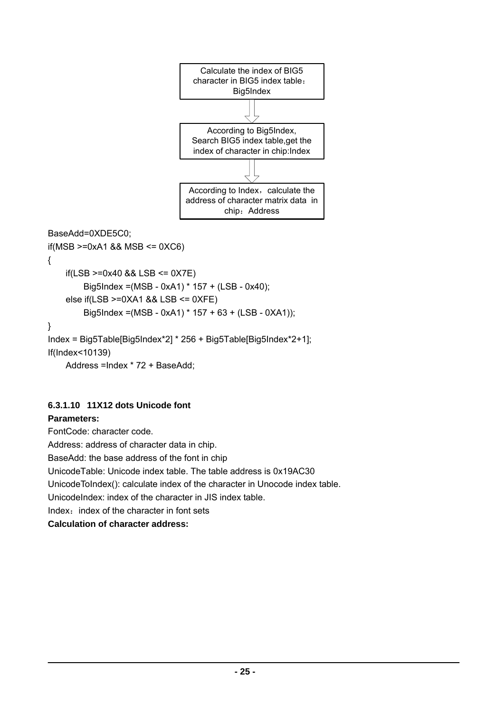

```
BaseAdd=0XDE5C0; 
if(MSB >=0xA1 && MSB <= 0XC6) 
{ 
    if(LSB >=0x40 & 8 & 1SS <= 0X7E)Big5Index =(MSB - 0xA1) * 157 + (LSB - 0x40); 
    else if(LSB >=0XA1 && LSB <= 0XFE) 
        Big5Index =(MSB - 0xA1) * 157 + 63 + (LSB - 0XA1)); 
} 
Index = Big5Table[Big5Index*2] * 256 + Big5Table[Big5Index*2+1]; 
If(Index<10139) 
    Address =Index * 72 + BaseAdd;
```
### **6.3.1.10 11X12 dots Unicode font**

#### **Parameters:**

FontCode: character code. Address: address of character data in chip. BaseAdd: the base address of the font in chip UnicodeTable: Unicode index table. The table address is 0x19AC30 UnicodeToIndex(): calculate index of the character in Unocode index table. UnicodeIndex: index of the character in JIS index table. Index: index of the character in font sets **Calculation of character address:**

 **- 25 -**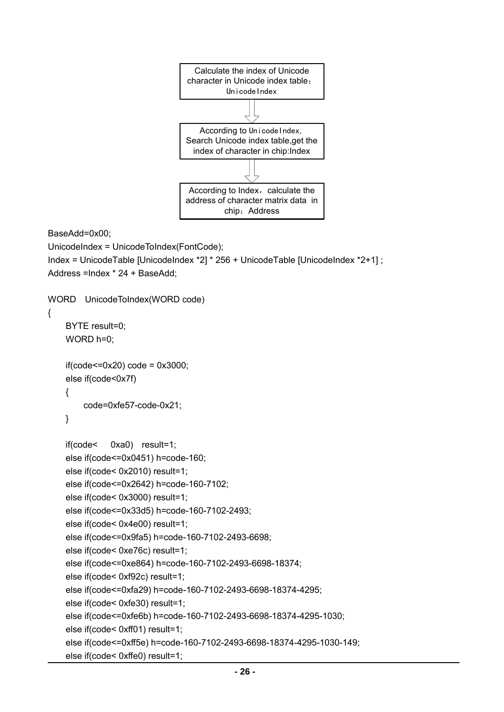

```
BaseAdd=0x00;
```

```
UnicodeIndex = UnicodeToIndex(FontCode); 
Index = UnicodeTable [UnicodeIndex *2] * 256 + UnicodeTable [UnicodeIndex *2+1] ; 
Address =Index * 24 + BaseAdd; 
WORD UnicodeToIndex(WORD code)
```

```
{ 
     BYTE result=0; 
    WORD h=0;
     if(code<=0x20) code = 0x3000; 
     else if(code<0x7f) 
     { 
          code=0xfe57-code-0x21; 
     } 
     if(code< 0xa0) result=1; 
     else if(code<=0x0451) h=code-160; 
     else if(code< 0x2010) result=1; 
     else if(code<=0x2642) h=code-160-7102; 
     else if(code< 0x3000) result=1; 
     else if(code<=0x33d5) h=code-160-7102-2493; 
     else if(code< 0x4e00) result=1; 
     else if(code<=0x9fa5) h=code-160-7102-2493-6698; 
     else if(code< 0xe76c) result=1; 
     else if(code<=0xe864) h=code-160-7102-2493-6698-18374; 
     else if(code< 0xf92c) result=1; 
     else if(code<=0xfa29) h=code-160-7102-2493-6698-18374-4295; 
     else if(code< 0xfe30) result=1; 
     else if(code<=0xfe6b) h=code-160-7102-2493-6698-18374-4295-1030; 
     else if(code< 0xff01) result=1; 
     else if(code<=0xff5e) h=code-160-7102-2493-6698-18374-4295-1030-149; 
     else if(code< 0xffe0) result=1;
```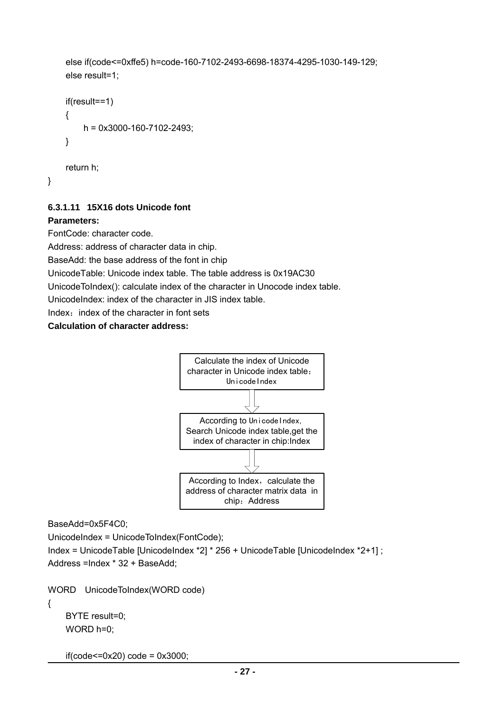```
 else if(code<=0xffe5) h=code-160-7102-2493-6698-18374-4295-1030-149-129; 
 else result=1;
```

```
 if(result==1) 
 { 
      h = 0x3000-160-7102-2493; 
 } 
 return h;
```
#### **6.3.1.11 15X16 dots Unicode font**

#### **Parameters:**

}

FontCode: character code.

Address: address of character data in chip.

BaseAdd: the base address of the font in chip

UnicodeTable: Unicode index table. The table address is 0x19AC30

UnicodeToIndex(): calculate index of the character in Unocode index table.

UnicodeIndex: index of the character in JIS index table.

Index: index of the character in font sets

**Calculation of character address:**



BaseAdd=0x5F4C0;

UnicodeIndex = UnicodeToIndex(FontCode);

Index = UnicodeTable [UnicodeIndex \*2] \* 256 + UnicodeTable [UnicodeIndex \*2+1] ; Address =Index \* 32 + BaseAdd;

WORD UnicodeToIndex(WORD code)

```
{
```
 BYTE result=0; WORD h=0;

 $if(code<=0x20)code = 0x3000;$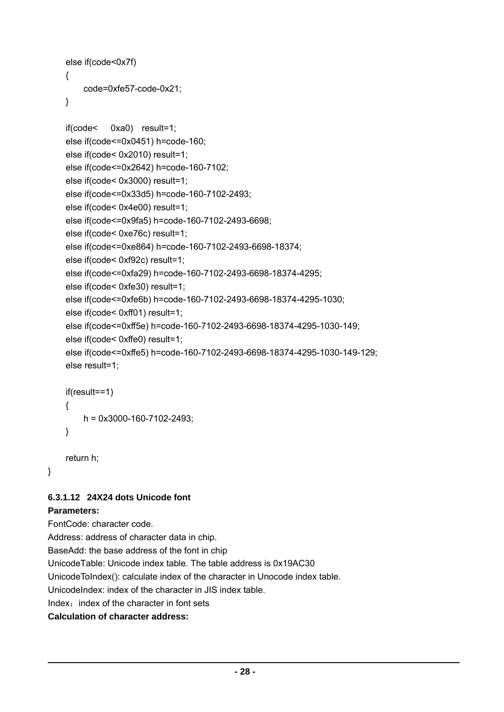```
 else if(code<0x7f) 
 { 
     code=0xfe57-code-0x21;
```
}

```
 if(code< 0xa0) result=1; 
 else if(code<=0x0451) h=code-160; 
 else if(code< 0x2010) result=1; 
 else if(code<=0x2642) h=code-160-7102; 
 else if(code< 0x3000) result=1; 
 else if(code<=0x33d5) h=code-160-7102-2493; 
 else if(code< 0x4e00) result=1; 
 else if(code<=0x9fa5) h=code-160-7102-2493-6698; 
 else if(code< 0xe76c) result=1; 
 else if(code<=0xe864) h=code-160-7102-2493-6698-18374; 
 else if(code< 0xf92c) result=1; 
 else if(code<=0xfa29) h=code-160-7102-2493-6698-18374-4295; 
 else if(code< 0xfe30) result=1; 
 else if(code<=0xfe6b) h=code-160-7102-2493-6698-18374-4295-1030; 
 else if(code< 0xff01) result=1; 
 else if(code<=0xff5e) h=code-160-7102-2493-6698-18374-4295-1030-149; 
 else if(code< 0xffe0) result=1; 
 else if(code<=0xffe5) h=code-160-7102-2493-6698-18374-4295-1030-149-129; 
 else result=1; 
 if(result==1) 
 {
```

```
 }
```

```
 return h;
```
}

### **6.3.1.12 24X24 dots Unicode font**

h = 0x3000-160-7102-2493;

### **Parameters:**

FontCode: character code. Address: address of character data in chip. BaseAdd: the base address of the font in chip UnicodeTable: Unicode index table. The table address is 0x19AC30 UnicodeToIndex(): calculate index of the character in Unocode index table. UnicodeIndex: index of the character in JIS index table. Index: index of the character in font sets **Calculation of character address:**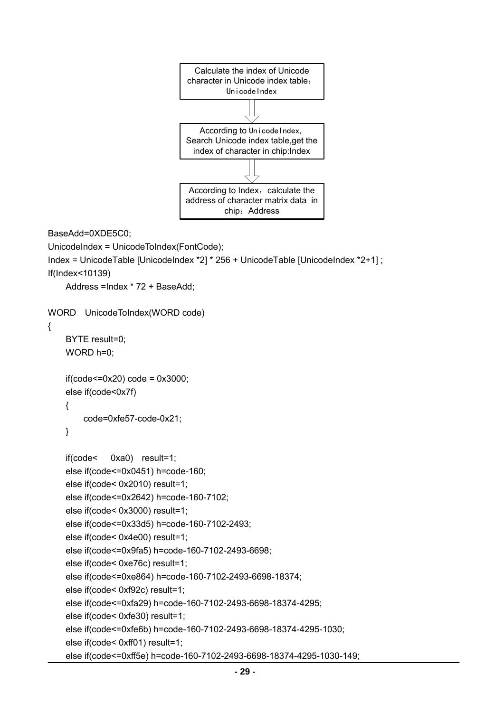

```
BaseAdd=0XDE5C0;
```

```
UnicodeIndex = UnicodeToIndex(FontCode);
```

```
Index = UnicodeTable [UnicodeIndex *2] * 256 + UnicodeTable [UnicodeIndex *2+1] ; 
If(Index<10139)
```
Address =Index \* 72 + BaseAdd;

```
WORD UnicodeToIndex(WORD code)
```

```
{
```

```
BYTE result=0;
 WORD h=0;
```

```
if(code<=0x20)code = 0x3000; else if(code<0x7f) 
 {
```
code=0xfe57-code-0x21;

```
 }
```

```
 if(code< 0xa0) result=1; 
 else if(code<=0x0451) h=code-160; 
 else if(code< 0x2010) result=1; 
 else if(code<=0x2642) h=code-160-7102; 
 else if(code< 0x3000) result=1; 
 else if(code<=0x33d5) h=code-160-7102-2493; 
 else if(code< 0x4e00) result=1; 
 else if(code<=0x9fa5) h=code-160-7102-2493-6698; 
 else if(code< 0xe76c) result=1; 
else if(code<=0xe864) h=code-160-7102-2493-6698-18374; 
 else if(code< 0xf92c) result=1; 
 else if(code<=0xfa29) h=code-160-7102-2493-6698-18374-4295; 
 else if(code< 0xfe30) result=1; 
 else if(code<=0xfe6b) h=code-160-7102-2493-6698-18374-4295-1030; 
 else if(code< 0xff01) result=1;
```

```
 else if(code<=0xff5e) h=code-160-7102-2493-6698-18374-4295-1030-149;
```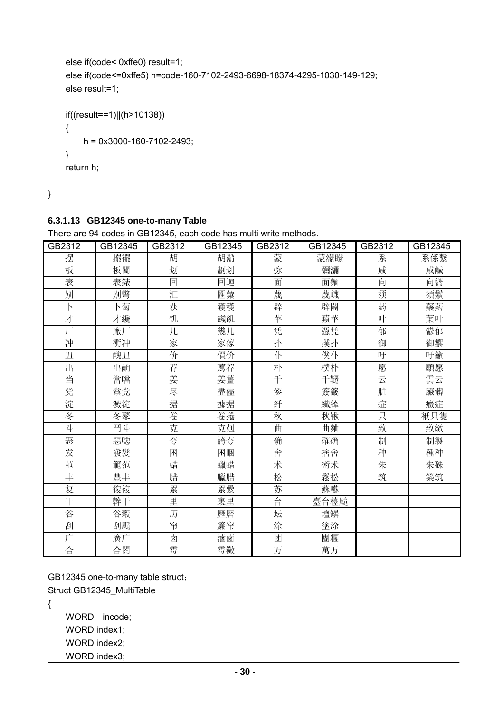```
 else if(code< 0xffe0) result=1; 
 else if(code<=0xffe5) h=code-160-7102-2493-6698-18374-4295-1030-149-129; 
 else result=1; 
if((result==1)||(h>10138))
```

```
 { 
      h = 0x3000-160-7102-2493; 
 } 
 return h;
```
}

#### **6.3.1.13 GB12345 one-to-many Table**

GB2312 | GB12345 | GB2312 | GB12345 | GB2312 | GB12345 | GB2312 | GB12345 摆 擺襬 胡 胡鬍 蒙 蒙濛矇 系 系係繫 板 | 板闆 | 划 | 劃划 | 弥 | 彌瀰 | 咸 | 咸鹹 表 | 表錶 | 回 | 回迴 | 面 | 面麵 | 向 | 向嚮 别 | 别彆 | 汇 | 匯彙 | 蔑 | 蔑衊 | 须 | 須鬚 ト ― ト蔔 ― 茶 ― 獲穫 ― 辟 ― 辟闢 ― 药 ― 藥葯 才 才纔 饥 饑飢 苹 蘋苹 叶 葉叶 厂 | 廠厂 | 几 | 幾几 | 凭 | 憑凭 | 郁 | 鬱郁 冲 | 衝冲 | 家 / 家傢 | 扑 | 撲扑 | 御 | 御禦 丑 | 醜丑 | 价 | 價价 | 仆 | 僕仆 | 吁 | 吁籲 出 | 出齣 | 荐 | 薦荐 | 朴 | 樸朴 | 愿 | 願愿 当 當噹 姜 姜薑 千 千韆 云 雲云 党 | 黨党 | 尽 | 盡儘 | 签 | 簽籤 | 脏 | 臟髒 淀 | 澱淀 | 据 | 據据 | 纤 | 繊縴 | 症 | 癥症 冬 ―― 冬鼕 ―― 卷 ―― 卷捲 ―― 秋 ―― 秋鞦 ―― 只 ―― 衹只隻 斗 | 鬥斗 | 克 | 克剋 | 曲 | 曲麯 | 致 | 致緻 恶 惡噁 夸 誇夸 确 確确 制 制製 发 | 發髮 | 困 | 困睏 | 舍 | 捨舍 | 种 | 種种 范 | 範范 | 蜡 | 蠟蜡 | 术 | 術术 | 朱 | 朱硃 丰 | 豐丰 | 腊 | 臘腊 | 松 | 鬆松 | 筑 | 築筑 复 復複 累 累纍 苏 蘇囌 干 | 幹干 | 里 | 裏里 | 台 |臺台檯颱 谷 │ 谷穀 │ 历 │ 歷曆 │ 坛 │ 壇罎 刮 刮颳 帘 簾帘 涂 塗涂 广 廣广 卤 滷鹵 团 團糰 合 | 合閤 | 霉 | 霉黴 | 万 | 萬万

There are 94 codes in GB12345, each code has multi write methods.

GB12345 one-to-many table struct: Struct GB12345\_MultiTable

{

WORD incode: WORD index1; WORD index2; WORD index3;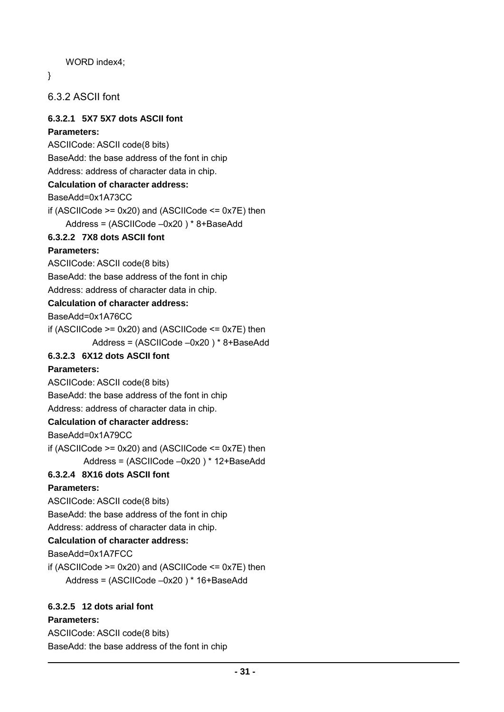WORD index4;

}

6.3.2 ASCII font

#### **6.3.2.1 5X7 5X7 dots ASCII font**

#### **Parameters:**

ASCIICode: ASCII code(8 bits)

BaseAdd: the base address of the font in chip

Address: address of character data in chip.

#### **Calculation of character address:**

BaseAdd=0x1A73CC

if (ASCIICode >= 0x20) and (ASCIICode <= 0x7E) then

Address = (ASCIICode –0x20 ) \* 8+BaseAdd

#### **6.3.2.2 7X8 dots ASCII font**

#### **Parameters:**

ASCIICode: ASCII code(8 bits)

BaseAdd: the base address of the font in chip

Address: address of character data in chip.

#### **Calculation of character address:**

BaseAdd=0x1A76CC

if (ASCIICode  $>= 0x20$ ) and (ASCIICode  $<= 0x7E$ ) then

```
 Address = (ASCIICode –0x20 ) * 8+BaseAdd
```
#### **6.3.2.3 6X12 dots ASCII font**

#### **Parameters:**

ASCIICode: ASCII code(8 bits)

BaseAdd: the base address of the font in chip

Address: address of character data in chip.

#### **Calculation of character address:**

BaseAdd=0x1A79CC

if (ASCIICode  $>= 0x20$ ) and (ASCIICode  $<= 0x7E$ ) then Address = (ASCIICode –0x20 ) \* 12+BaseAdd

#### **6.3.2.4 8X16 dots ASCII font**

#### **Parameters:**

ASCIICode: ASCII code(8 bits)

BaseAdd: the base address of the font in chip

Address: address of character data in chip.

#### **Calculation of character address:**

BaseAdd=0x1A7FCC

if (ASCIICode  $>= 0x20$ ) and (ASCIICode  $<= 0x7E$ ) then

Address = (ASCIICode –0x20 ) \* 16+BaseAdd

#### **6.3.2.5 12 dots arial font**

#### **Parameters:**

ASCIICode: ASCII code(8 bits) BaseAdd: the base address of the font in chip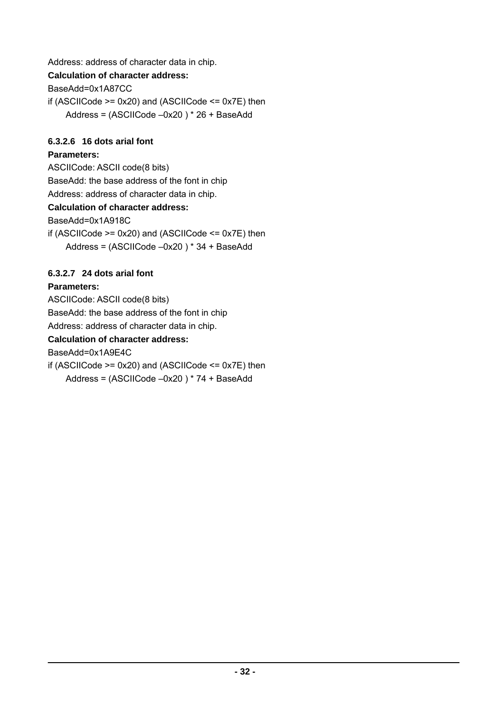Address: address of character data in chip.

### **Calculation of character address:**

BaseAdd=0x1A87CC

if (ASCIICode  $>= 0x20$ ) and (ASCIICode  $<= 0x7E$ ) then Address = (ASCIICode –0x20 ) \* 26 + BaseAdd

#### **6.3.2.6 16 dots arial font**

#### **Parameters:**

ASCIICode: ASCII code(8 bits)

BaseAdd: the base address of the font in chip

Address: address of character data in chip.

### **Calculation of character address:**

BaseAdd=0x1A918C

if (ASCIICode  $>= 0x20$ ) and (ASCIICode  $<= 0x7E$ ) then Address = (ASCIICode –0x20 ) \* 34 + BaseAdd

### **6.3.2.7 24 dots arial font**

### **Parameters:**

ASCIICode: ASCII code(8 bits) BaseAdd: the base address of the font in chip Address: address of character data in chip. **Calculation of character address:**  BaseAdd=0x1A9E4C if (ASCIICode  $>= 0x20$ ) and (ASCIICode  $<= 0x7E$ ) then Address = (ASCIICode –0x20 ) \* 74 + BaseAdd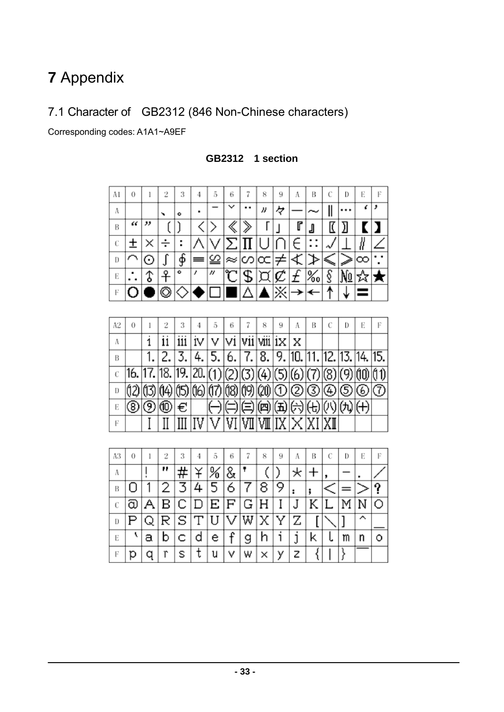# **7** Appendix

# 7.1 Character of GB2312 (846 Non-Chinese characters)

Corresponding codes: A1A1~A9EF

| A1             | 0     | I                | 2              | 3    | 4            | 5   | 6    | 7    | 8      | 9                   | A   | B                         | Ċ   | D   | E               | F   |
|----------------|-------|------------------|----------------|------|--------------|-----|------|------|--------|---------------------|-----|---------------------------|-----|-----|-----------------|-----|
| Λ              |       |                  | ۰              | ó    | ۰            |     | ∨    |      | n      | 々                   |     |                           | II  |     | ć               | ,   |
| B              | α     | "                |                | J    | ぐ            | ⋋   | 《    | ≫    | Г      |                     | r   | J                         | K   | Л   | r               | ı   |
| $\mathcal{C}$  | $\pm$ | ×                | ÷              | I    |              |     | ⋝    |      | I      |                     | €   | $\ddot{\phantom{0}}$<br>: |     |     | Ī,              |     |
| D              | ٦     | ⊙                | ſ              | ∲    | ≡            | ≌   | ≈    | ∽    |        | ≠                   | Ì   | ≯                         | ≤   | È   | ∞               |     |
| E              | ٠     | t                | ᡲ              | ۰    | ı            | n   | ۴    | \$   | ŗ<br>J | ¢                   | £   | ‰                         | §   | No  | ☆               | ★   |
| F              |       |                  | O              |      |              |     |      | Λ    |        | $\overline{\times}$ | ≯   | ↞                         | ↟   |     |                 |     |
|                |       |                  |                |      |              |     |      |      |        |                     |     |                           |     |     |                 |     |
| A2             | 0     | 1                | $\overline{2}$ | 3    | 4            | 5   | 6    | 7    | 8      | 9                   | A   | B                         | Ċ   | D   | E               | F   |
| A              |       | i                | ii             | iii  | iv           | v   | vi   | vii  | viii   | ix                  | X   |                           |     |     |                 |     |
| B              |       | $\overline{1}$ . | 2.             | 3.   | 4.           | 5.  | 6.   | 7.   | 8.     | 9.                  | 10. | 11.                       | 12. | 13. | 14.             | 15. |
| $\overline{c}$ | 16.   |                  | 18.            | 19.  | 20.          | (1) | (2)  | 3)   | (4)    | (5)                 | (6) | (7)                       | (8) | (9) | ÓO)             | ÓÛ  |
| D              | Ú2)   | (13)             | (14)           | (15) | (16)         | 仞   | (18) | (19) | (20)   | 1                   | 2   | 顺                         | Œ   | E   | ⊛               | O   |
| E              | ◉     | ℗                |                | €    |              |     |      |      | 四      | 五                   | ⊖   | (七)                       | Ø)  | (九) | $^\mathrm{(+)}$ |     |
| F              |       | I                | II             | Ш    | IV           | V   | VI   |      | Ⅶ      |                     |     | XI                        |     |     |                 |     |
|                |       |                  |                |      |              |     |      |      |        |                     |     |                           |     |     |                 |     |
| A3             | 0     | 1                | $\overline{2}$ | 3    | 4            | 5   | 6    | 7    | 8      | 9                   | A   | Β                         | Ċ   | D   | E               | F   |
| A              |       | I                | "              | #    | ¥            | ℅   | &    | Ŧ    |        | ℩                   | ∗   | $+$                       | ,   |     |                 |     |
| B              | 0     | 1                | 2              | 3    | 4            | 5   | 6    | 7    | 8      | 9                   | ÷   | j                         |     |     |                 | ?   |
| $\mathcal{C}$  | බ     | А                | в              | С    |              | Ε   | F    | G    | Η      | I                   | J   | Κ                         | L   | Μ   | N               | Ο   |
| D              | P     | Q                | R              | S    | $\mathbf{L}$ | U   | V    | W    | Χ      | Y                   | Z   | [                         |     | ]   | ⊼               |     |
| E              | ١     | а                | b              | Ċ    | d            | е   | f    | g    | h      | i                   | j   | k                         | ι   | m   | n               | О   |
| F              | р     | q                | ĩ              | S    | ŧ            | u   | ٧    | w    | ×      | у                   | Z   | {                         |     | ⟩   |                 |     |

**GB2312 1 section**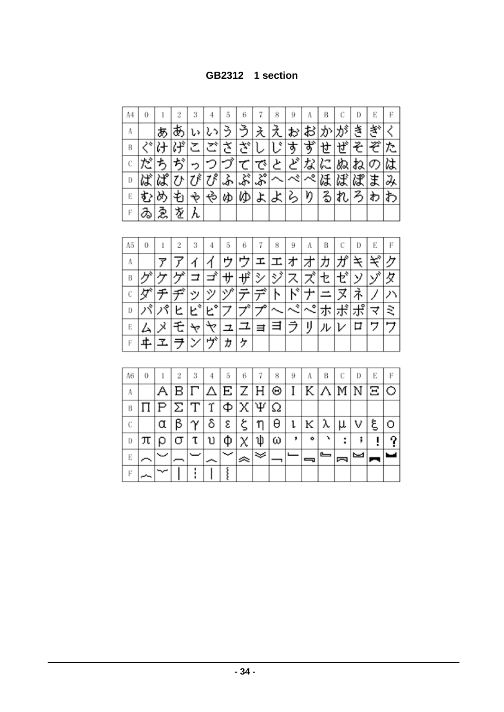**GB2312 1 section**

| Α4 | 0 |      |   | 3 | 4                          | 5  | 6    |                        | 8 | 9 | A       | В |    | D | Е | F |
|----|---|------|---|---|----------------------------|----|------|------------------------|---|---|---------|---|----|---|---|---|
| Α  |   | F.   |   |   |                            |    |      | ≵                      |   |   |         |   |    |   |   |   |
| B  |   | ։∔   |   |   |                            | تم | جنجو |                        | ÷ | ぉ | حد<br>9 | ੇ | А, | そ | ⊅ |   |
| С  |   |      |   |   |                            |    |      | で                      | と | ど | な       | に | ぬ  | ね | の |   |
| D  | ば | ぱ    |   |   | $\overline{\mathcal{U}}^s$ | ふ  | ぷ    | $\mathcal{S}^{\prime}$ |   |   | ぺ       | 陆 |    |   | ŧ |   |
| E  |   |      |   |   | ಳು                         | ゆ  | KD   | よ                      | ∽ | ∽ | Ŋ       |   |    |   | わ |   |
| F  |   | క్లై | 垄 |   |                            |    |      |                        |   |   |         |   |    |   |   |   |

| A5 | 0 |    | 2 | 3  | 4  | 5  | 6 |   | 8      | 9           | А           | В | С        | D       | Е | F |
|----|---|----|---|----|----|----|---|---|--------|-------------|-------------|---|----------|---------|---|---|
| Α  |   |    |   |    |    |    |   |   |        |             |             |   |          |         |   |   |
| В  |   |    |   |    |    | IJ |   | シ | ÷<br>シ |             |             |   |          | У       | ゾ |   |
|    |   |    |   | ツ  |    | ハバ |   |   |        | ₹           |             |   |          |         |   |   |
| D  |   | گر | ヒ | ÷  | F. |    |   |   |        | ÷<br>$\sim$ | o<br>$\sim$ |   | - 1<br>示 | $\circ$ | ≺ | ≈ |
| E  |   |    |   |    |    |    |   |   |        |             | IJ          | л |          | □       | ワ |   |
| F  |   |    |   | У. | ザ  | ヵ  | ヶ |   |        |             |             |   |          |         |   |   |

| A6 | 0 |     |                     | 3                 |                                 | 5 | 6 |                     | 8 | 9 |   | В             |   | D | Е   |  |
|----|---|-----|---------------------|-------------------|---------------------------------|---|---|---------------------|---|---|---|---------------|---|---|-----|--|
| А  |   |     | в                   | $\prod_{i=1}^{n}$ | $ \Delta $ E $ Z $ H $ \Theta $ |   |   |                     |   | I |   | $K \Lambda M$ |   |   | NEO |  |
| B  |   | IP. | $ \Sigma $ $\Gamma$ |                   | Υ                               | Ф |   | $\chi  \Psi \Omega$ |   |   |   |               |   |   |     |  |
| C  |   |     |                     |                   | δ                               | ε |   |                     | θ | ι | K | λ             |   |   | ۶   |  |
| D  |   |     |                     |                   |                                 |   |   |                     | ω |   | ۰ |               | ٠ |   |     |  |
| E  |   |     |                     |                   |                                 |   |   |                     |   |   |   | <u>_</u>      |   |   |     |  |
| Е  |   |     |                     |                   |                                 |   |   |                     |   |   |   |               |   |   |     |  |